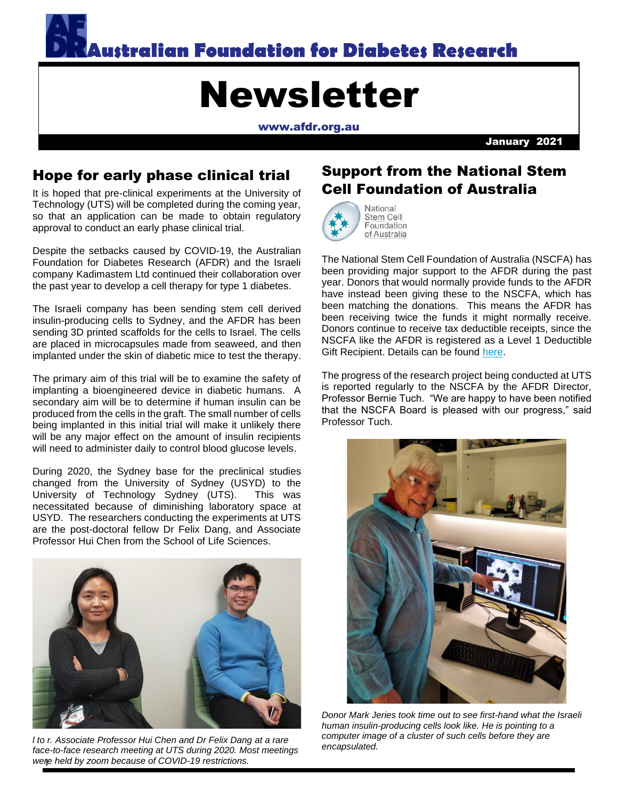

# Newsletter

[www.afdr.org.au](http://www.afdr.org.au/)

January 2021

# Hope for early phase clinical trial

It is hoped that pre-clinical experiments at the University of Technology (UTS) will be completed during the coming year, so that an application can be made to obtain regulatory approval to conduct an early phase clinical trial.

Despite the setbacks caused by COVID-19, the Australian Foundation for Diabetes Research (AFDR) and the Israeli company Kadimastem Ltd continued their collaboration over the past year to develop a cell therapy for type 1 diabetes.

The Israeli company has been sending stem cell derived insulin-producing cells to Sydney, and the AFDR has been sending 3D printed scaffolds for the cells to Israel. The cells are placed in microcapsules made from seaweed, and then implanted under the skin of diabetic mice to test the therapy.

The primary aim of this trial will be to examine the safety of implanting a bioengineered device in diabetic humans. A secondary aim will be to determine if human insulin can be produced from the cells in the graft. The small number of cells being implanted in this initial trial will make it unlikely there will be any major effect on the amount of insulin recipients will need to administer daily to control blood glucose levels.

During 2020, the Sydney base for the preclinical studies changed from the University of Sydney (USYD) to the University of Technology Sydney (UTS). This was necessitated because of diminishing laboratory space at USYD. The researchers conducting the experiments at UTS are the post-doctoral fellow Dr Felix Dang, and Associate Professor Hui Chen from the School of Life Sciences.



1 *were held by zoom because of COVID-19 restrictions. l to r. Associate Professor Hui Chen and Dr Felix Dang at a rare face-to-face research meeting at UTS during 2020. Most meetings* 

# Support from the National Stem Cell Foundation of Australia



Stem Cell Foundation of Australia

The National Stem Cell Foundation of Australia (NSCFA) has been providing major support to the AFDR during the past year. Donors that would normally provide funds to the AFDR have instead been giving these to the NSCFA, which has been matching the donations. This means the AFDR has been receiving twice the funds it might normally receive. Donors continue to receive tax deductible receipts, since the NSCFA like the AFDR is registered as a Level 1 Deductible Gift Recipient. Details can be found [here.](https://www.stemcellfoundation.net.au/diabetes_project)

The progress of the research project being conducted at UTS is reported regularly to the NSCFA by the AFDR Director, Professor Bernie Tuch. "We are happy to have been notified that the NSCFA Board is pleased with our progress," said Professor Tuch.



*Donor Mark Jeries took time out to see first-hand what the Israeli human insulin-producing cells look like. He is pointing to a computer image of a cluster of such cells before they are encapsulated.*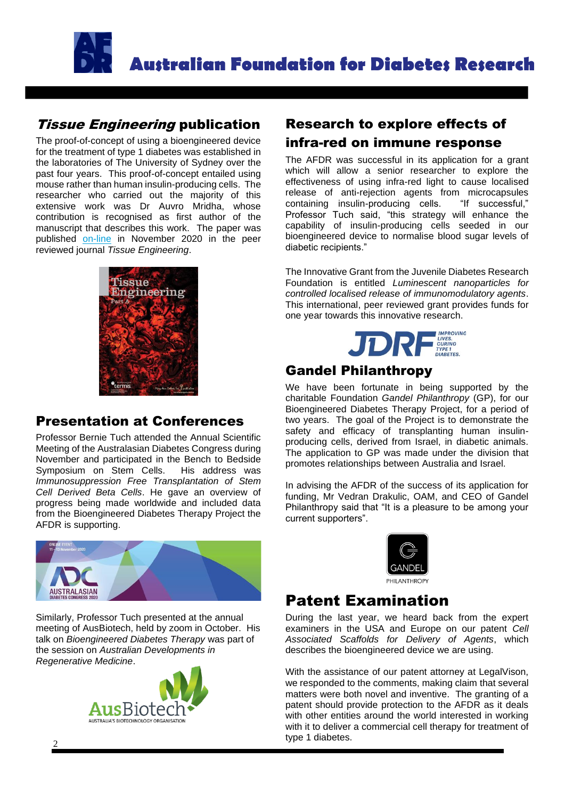

## **Tissue Engineering publication**

The proof-of-concept of using a bioengineered device for the treatment of type 1 diabetes was established in the laboratories of The University of Sydney over the past four years. This proof-of-concept entailed using mouse rather than human insulin-producing cells. The researcher who carried out the majority of this extensive work was Dr Auvro Mridha, whose contribution is recognised as first author of the manuscript that describes this work. The paper was published [on-line](https://www.liebertpub.com/doi/abs/10.1089/ten.TEA.2020.0179) in November 2020 in the peer reviewed journal *Tissue Engineering*.



# Presentation at Conferences

Professor Bernie Tuch attended the Annual Scientific Meeting of the Australasian Diabetes Congress during November and participated in the Bench to Bedside Symposium on Stem Cells. His address was *Immunosuppression Free Transplantation of Stem Cell Derived Beta Cells*. He gave an overview of progress being made worldwide and included data from the Bioengineered Diabetes Therapy Project the AFDR is supporting.



Similarly, Professor Tuch presented at the annual meeting of AusBiotech, held by zoom in October. His talk on *Bioengineered Diabetes Therapy* was part of the session on *Australian Developments in Regenerative Medicine*.



# Research to explore effects of infra-red on immune response

The AFDR was successful in its application for a grant which will allow a senior researcher to explore the effectiveness of using infra-red light to cause localised release of anti-rejection agents from microcapsules<br>containing insulin-producing cells. "If successful,"  $containing$  insulin-producing cells. Professor Tuch said, "this strategy will enhance the capability of insulin-producing cells seeded in our bioengineered device to normalise blood sugar levels of diabetic recipients."

The Innovative Grant from the Juvenile Diabetes Research Foundation is entitled *Luminescent nanoparticles for controlled localised release of immunomodulatory agents*. This international, peer reviewed grant provides funds for one year towards this innovative research.



## Gandel Philanthropy

We have been fortunate in being supported by the charitable Foundation *Gandel Philanthropy* (GP), for our Bioengineered Diabetes Therapy Project, for a period of two years. The goal of the Project is to demonstrate the safety and efficacy of transplanting human insulinproducing cells, derived from Israel, in diabetic animals. The application to GP was made under the division that promotes relationships between Australia and Israel.

In advising the AFDR of the success of its application for funding, Mr Vedran Drakulic, OAM, and CEO of Gandel Philanthropy said that "It is a pleasure to be among your current supporters".



# Patent Examination

During the last year, we heard back from the expert examiners in the USA and Europe on our patent *Cell Associated Scaffolds for Delivery of Agents*, which describes the bioengineered device we are using.

With the assistance of our patent attorney at LegalVison, we responded to the comments, making claim that several matters were both novel and inventive. The granting of a patent should provide protection to the AFDR as it deals with other entities around the world interested in working with it to deliver a commercial cell therapy for treatment of type 1 diabetes.